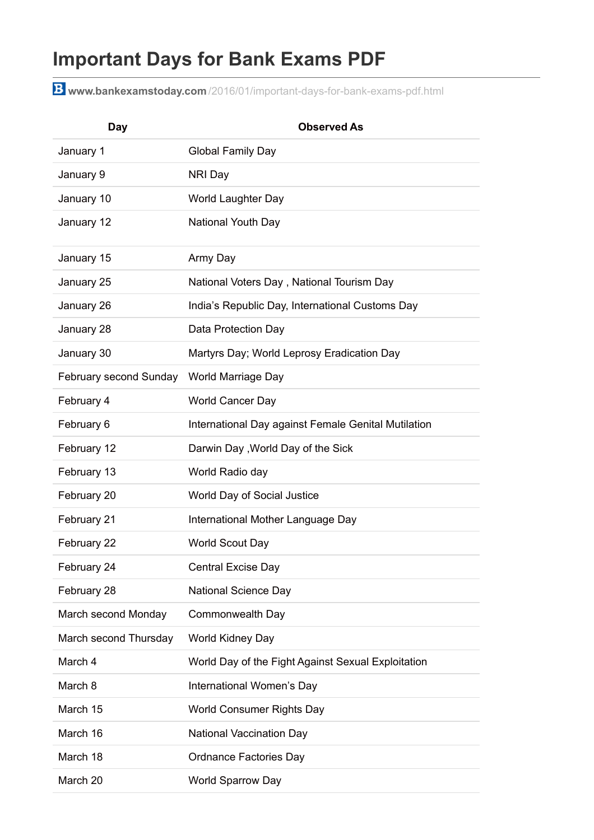## **Important Days for Bank Exams PDF**

**www.bankexamstoday.com** [/2016/01/important-days-for-bank-exams-pdf.html](http://www.bankexamstoday.com/2016/01/important-days-for-bank-exams-pdf.html)

| <b>Day</b>             | <b>Observed As</b>                                  |
|------------------------|-----------------------------------------------------|
| January 1              | <b>Global Family Day</b>                            |
| January 9              | NRI Day                                             |
| January 10             | World Laughter Day                                  |
| January 12             | National Youth Day                                  |
| January 15             | Army Day                                            |
| January 25             | National Voters Day, National Tourism Day           |
| January 26             | India's Republic Day, International Customs Day     |
| January 28             | Data Protection Day                                 |
| January 30             | Martyrs Day; World Leprosy Eradication Day          |
| February second Sunday | World Marriage Day                                  |
| February 4             | World Cancer Day                                    |
| February 6             | International Day against Female Genital Mutilation |
| February 12            | Darwin Day, World Day of the Sick                   |
| February 13            | World Radio day                                     |
| February 20            | World Day of Social Justice                         |
| February 21            | International Mother Language Day                   |
| February 22            | <b>World Scout Day</b>                              |
| February 24            | <b>Central Excise Day</b>                           |
| February 28            | National Science Day                                |
| March second Monday    | Commonwealth Day                                    |
| March second Thursday  | World Kidney Day                                    |
| March 4                | World Day of the Fight Against Sexual Exploitation  |
| March 8                | International Women's Day                           |
| March 15               | World Consumer Rights Day                           |
| March 16               | <b>National Vaccination Day</b>                     |
| March 18               | Ordnance Factories Day                              |
| March 20               | <b>World Sparrow Day</b>                            |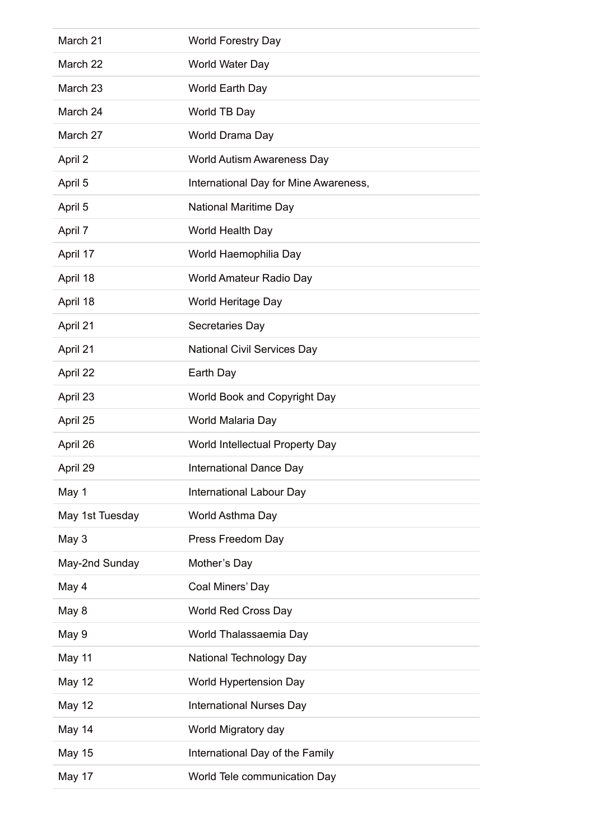| March 21        | <b>World Forestry Day</b>             |
|-----------------|---------------------------------------|
| March 22        | World Water Day                       |
| March 23        | World Earth Day                       |
| March 24        | World TB Day                          |
| March 27        | World Drama Day                       |
| April 2         | <b>World Autism Awareness Day</b>     |
| April 5         | International Day for Mine Awareness, |
| April 5         | <b>National Maritime Day</b>          |
| April 7         | World Health Day                      |
| April 17        | World Haemophilia Day                 |
| April 18        | World Amateur Radio Day               |
| April 18        | World Heritage Day                    |
| April 21        | Secretaries Day                       |
| April 21        | <b>National Civil Services Day</b>    |
| April 22        | Earth Day                             |
| April 23        | World Book and Copyright Day          |
| April 25        | World Malaria Day                     |
| April 26        | World Intellectual Property Day       |
| April 29        | International Dance Day               |
| May 1           | International Labour Day              |
| May 1st Tuesday | World Asthma Day                      |
| May 3           | Press Freedom Day                     |
| May-2nd Sunday  | Mother's Day                          |
| May 4           | Coal Miners' Day                      |
| May 8           | <b>World Red Cross Day</b>            |
| May 9           | World Thalassaemia Day                |
| May 11          | National Technology Day               |
| May 12          | <b>World Hypertension Day</b>         |
| May 12          | <b>International Nurses Day</b>       |
| May 14          | World Migratory day                   |
| <b>May 15</b>   | International Day of the Family       |
| May 17          | World Tele communication Day          |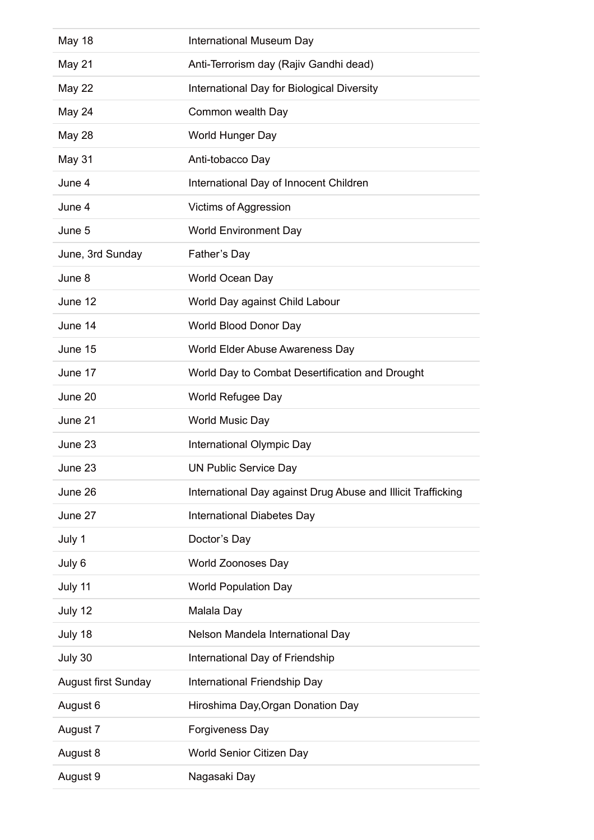| May 18                     | International Museum Day                                     |
|----------------------------|--------------------------------------------------------------|
| May 21                     | Anti-Terrorism day (Rajiv Gandhi dead)                       |
| <b>May 22</b>              | International Day for Biological Diversity                   |
| May 24                     | Common wealth Day                                            |
| <b>May 28</b>              | World Hunger Day                                             |
| May 31                     | Anti-tobacco Day                                             |
| June 4                     | International Day of Innocent Children                       |
| June 4                     | <b>Victims of Aggression</b>                                 |
| June 5                     | <b>World Environment Day</b>                                 |
| June, 3rd Sunday           | Father's Day                                                 |
| June 8                     | World Ocean Day                                              |
| June 12                    | World Day against Child Labour                               |
| June 14                    | World Blood Donor Day                                        |
| June 15                    | World Elder Abuse Awareness Day                              |
| June 17                    | World Day to Combat Desertification and Drought              |
| June 20                    | World Refugee Day                                            |
| June 21                    | World Music Day                                              |
| June 23                    | International Olympic Day                                    |
| June 23                    | <b>UN Public Service Day</b>                                 |
| June 26                    | International Day against Drug Abuse and Illicit Trafficking |
| June 27                    | <b>International Diabetes Day</b>                            |
| July 1                     | Doctor's Day                                                 |
| July 6                     | <b>World Zoonoses Day</b>                                    |
| July 11                    | <b>World Population Day</b>                                  |
| July 12                    | Malala Day                                                   |
| July 18                    | Nelson Mandela International Day                             |
| July 30                    | International Day of Friendship                              |
| <b>August first Sunday</b> | International Friendship Day                                 |
| August 6                   | Hiroshima Day, Organ Donation Day                            |
| August 7                   | Forgiveness Day                                              |
| August 8                   | World Senior Citizen Day                                     |
| August 9                   | Nagasaki Day                                                 |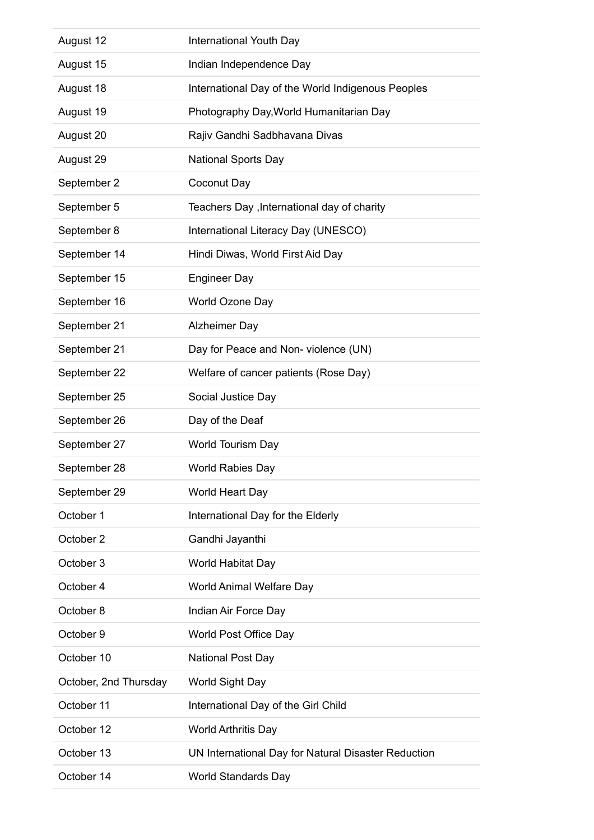| August 12             | International Youth Day                             |
|-----------------------|-----------------------------------------------------|
| August 15             | Indian Independence Day                             |
| August 18             | International Day of the World Indigenous Peoples   |
| August 19             | Photography Day, World Humanitarian Day             |
| August 20             | Rajiv Gandhi Sadbhavana Divas                       |
| August 29             | <b>National Sports Day</b>                          |
| September 2           | <b>Coconut Day</b>                                  |
| September 5           | Teachers Day, International day of charity          |
| September 8           | International Literacy Day (UNESCO)                 |
| September 14          | Hindi Diwas, World First Aid Day                    |
| September 15          | <b>Engineer Day</b>                                 |
| September 16          | World Ozone Day                                     |
| September 21          | <b>Alzheimer Day</b>                                |
| September 21          | Day for Peace and Non-violence (UN)                 |
| September 22          | Welfare of cancer patients (Rose Day)               |
| September 25          | Social Justice Day                                  |
| September 26          | Day of the Deaf                                     |
| September 27          | World Tourism Day                                   |
| September 28          | World Rabies Day                                    |
| September 29          | World Heart Day                                     |
| October 1             | International Day for the Elderly                   |
| October 2             | Gandhi Jayanthi                                     |
| October 3             | World Habitat Day                                   |
| October 4             | World Animal Welfare Day                            |
| October 8             | Indian Air Force Day                                |
| October 9             | World Post Office Day                               |
| October 10            | <b>National Post Day</b>                            |
| October, 2nd Thursday | World Sight Day                                     |
| October 11            | International Day of the Girl Child                 |
| October 12            | World Arthritis Day                                 |
| October 13            | UN International Day for Natural Disaster Reduction |
| October 14            | World Standards Day                                 |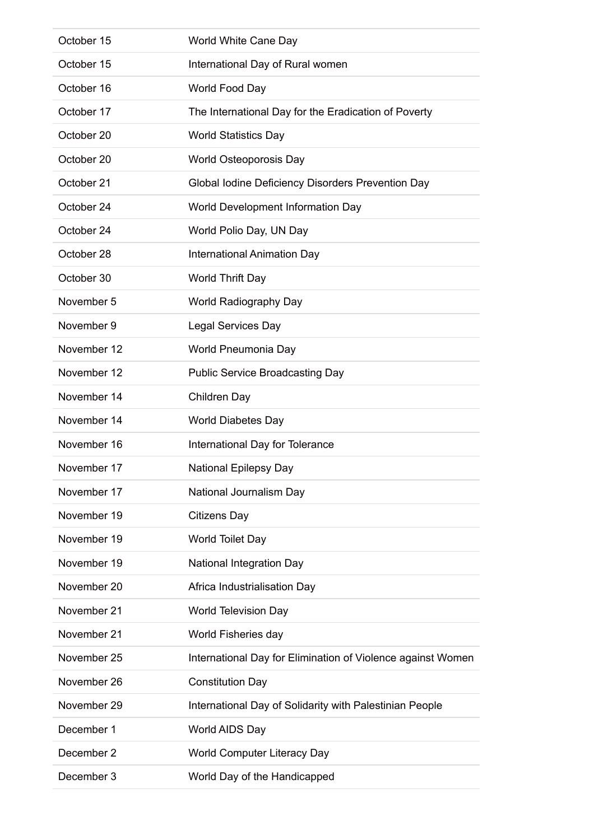| October 15  | World White Cane Day                                        |
|-------------|-------------------------------------------------------------|
| October 15  | International Day of Rural women                            |
| October 16  | World Food Day                                              |
| October 17  | The International Day for the Eradication of Poverty        |
| October 20  | <b>World Statistics Day</b>                                 |
| October 20  | World Osteoporosis Day                                      |
| October 21  | Global Iodine Deficiency Disorders Prevention Day           |
| October 24  | World Development Information Day                           |
| October 24  | World Polio Day, UN Day                                     |
| October 28  | <b>International Animation Day</b>                          |
| October 30  | World Thrift Day                                            |
| November 5  | World Radiography Day                                       |
| November 9  | <b>Legal Services Day</b>                                   |
| November 12 | World Pneumonia Day                                         |
| November 12 | <b>Public Service Broadcasting Day</b>                      |
| November 14 | <b>Children Day</b>                                         |
| November 14 | <b>World Diabetes Day</b>                                   |
| November 16 | International Day for Tolerance                             |
| November 17 | National Epilepsy Day                                       |
| November 17 | National Journalism Day                                     |
| November 19 | <b>Citizens Day</b>                                         |
| November 19 | World Toilet Day                                            |
| November 19 | <b>National Integration Day</b>                             |
| November 20 | Africa Industrialisation Day                                |
| November 21 | <b>World Television Day</b>                                 |
| November 21 | World Fisheries day                                         |
| November 25 | International Day for Elimination of Violence against Women |
| November 26 | <b>Constitution Day</b>                                     |
| November 29 | International Day of Solidarity with Palestinian People     |
| December 1  | World AIDS Day                                              |
| December 2  | <b>World Computer Literacy Day</b>                          |
| December 3  | World Day of the Handicapped                                |